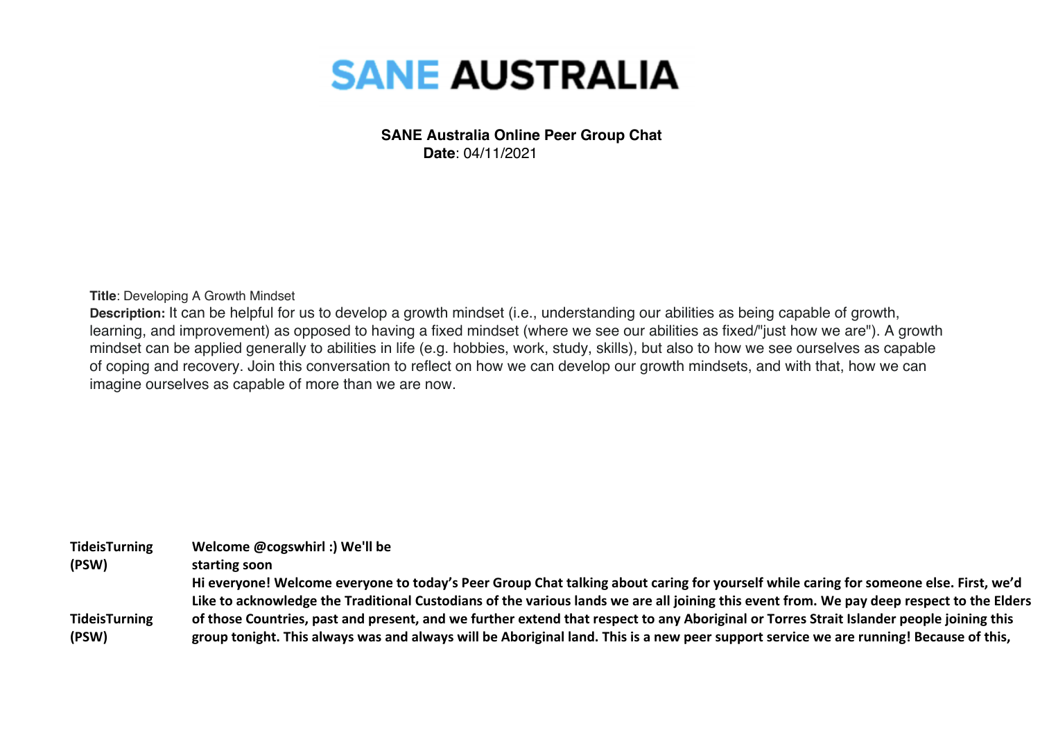

## **SANE Australia Online Peer Group Chat Date**: 04/11/2021

**Title**: Developing A Growth Mindset

**Description:** It can be helpful for us to develop a growth mindset (i.e., understanding our abilities as being capable of growth, learning, and improvement) as opposed to having a fixed mindset (where we see our abilities as fixed/"just how we are"). A growth mindset can be applied generally to abilities in life (e.g. hobbies, work, study, skills), but also to how we see ourselves as capable of coping and recovery. Join this conversation to reflect on how we can develop our growth mindsets, and with that, how we can imagine ourselves as capable of more than we are now.

| <b>TideisTurning</b> | Welcome @cogswhirl :) We'll be                                                                                                            |
|----------------------|-------------------------------------------------------------------------------------------------------------------------------------------|
| (PSW)                | starting soon                                                                                                                             |
|                      | Hi everyone! Welcome everyone to today's Peer Group Chat talking about caring for yourself while caring for someone else. First, we'd     |
|                      | Like to acknowledge the Traditional Custodians of the various lands we are all joining this event from. We pay deep respect to the Elders |
| <b>TideisTurning</b> | of those Countries, past and present, and we further extend that respect to any Aboriginal or Torres Strait Islander people joining this  |
| (PSW)                | group tonight. This always was and always will be Aboriginal land. This is a new peer support service we are running! Because of this,    |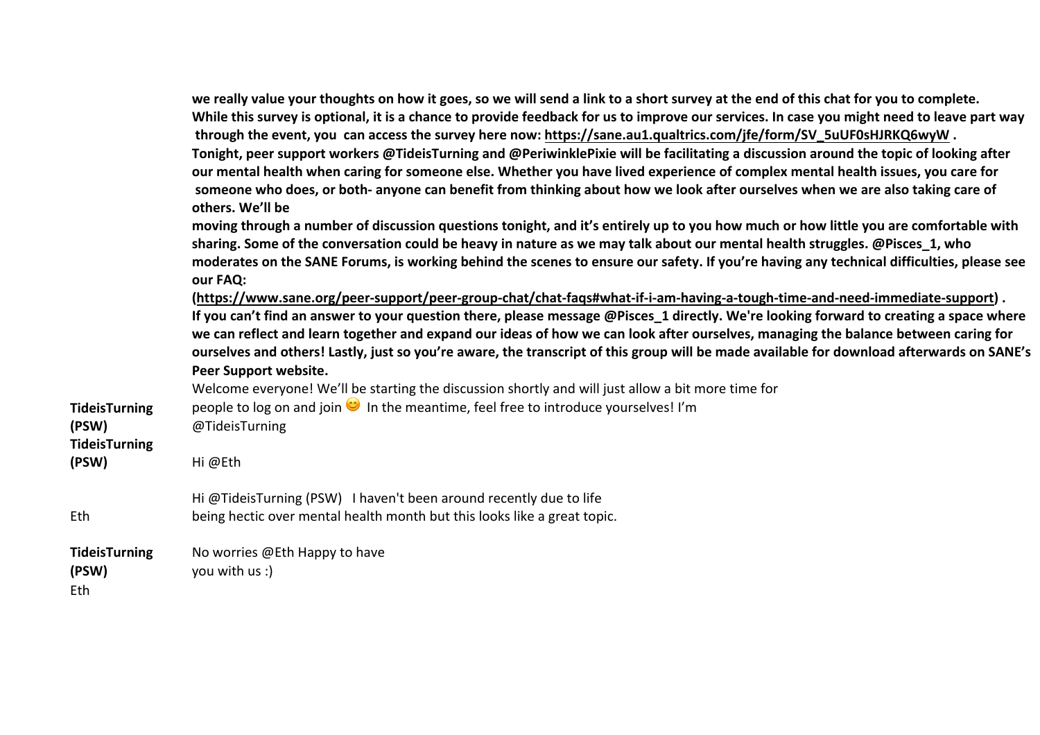|                                      | we really value your thoughts on how it goes, so we will send a link to a short survey at the end of this chat for you to complete.<br>While this survey is optional, it is a chance to provide feedback for us to improve our services. In case you might need to leave part way<br>through the event, you can access the survey here now: https://sane.au1.qualtrics.com/jfe/form/SV_5uUF0sHJRKQ6wyW.<br>Tonight, peer support workers @TideisTurning and @PeriwinklePixie will be facilitating a discussion around the topic of looking after<br>our mental health when caring for someone else. Whether you have lived experience of complex mental health issues, you care for<br>someone who does, or both- anyone can benefit from thinking about how we look after ourselves when we are also taking care of<br>others. We'll be |
|--------------------------------------|------------------------------------------------------------------------------------------------------------------------------------------------------------------------------------------------------------------------------------------------------------------------------------------------------------------------------------------------------------------------------------------------------------------------------------------------------------------------------------------------------------------------------------------------------------------------------------------------------------------------------------------------------------------------------------------------------------------------------------------------------------------------------------------------------------------------------------------|
|                                      | moving through a number of discussion questions tonight, and it's entirely up to you how much or how little you are comfortable with<br>sharing. Some of the conversation could be heavy in nature as we may talk about our mental health struggles. @Pisces_1, who<br>moderates on the SANE Forums, is working behind the scenes to ensure our safety. If you're having any technical difficulties, please see<br>our FAQ:                                                                                                                                                                                                                                                                                                                                                                                                              |
|                                      | (https://www.sane.org/peer-support/peer-group-chat/chat-faqs#what-if-i-am-having-a-tough-time-and-need-immediate-support).<br>If you can't find an answer to your question there, please message @Pisces 1 directly. We're looking forward to creating a space where<br>we can reflect and learn together and expand our ideas of how we can look after ourselves, managing the balance between caring for<br>ourselves and others! Lastly, just so you're aware, the transcript of this group will be made available for download afterwards on SANE's<br>Peer Support website.<br>Welcome everyone! We'll be starting the discussion shortly and will just allow a bit more time for                                                                                                                                                   |
| <b>TideisTurning</b><br>(PSW)        | people to log on and join $\bullet$ In the meantime, feel free to introduce yourselves! I'm<br>@TideisTurning                                                                                                                                                                                                                                                                                                                                                                                                                                                                                                                                                                                                                                                                                                                            |
| <b>TideisTurning</b><br>(PSW)        | Hi@Eth                                                                                                                                                                                                                                                                                                                                                                                                                                                                                                                                                                                                                                                                                                                                                                                                                                   |
| Eth                                  | Hi @TideisTurning (PSW) I haven't been around recently due to life<br>being hectic over mental health month but this looks like a great topic.                                                                                                                                                                                                                                                                                                                                                                                                                                                                                                                                                                                                                                                                                           |
| <b>TideisTurning</b><br>(PSW)<br>Eth | No worries @Eth Happy to have<br>you with us :)                                                                                                                                                                                                                                                                                                                                                                                                                                                                                                                                                                                                                                                                                                                                                                                          |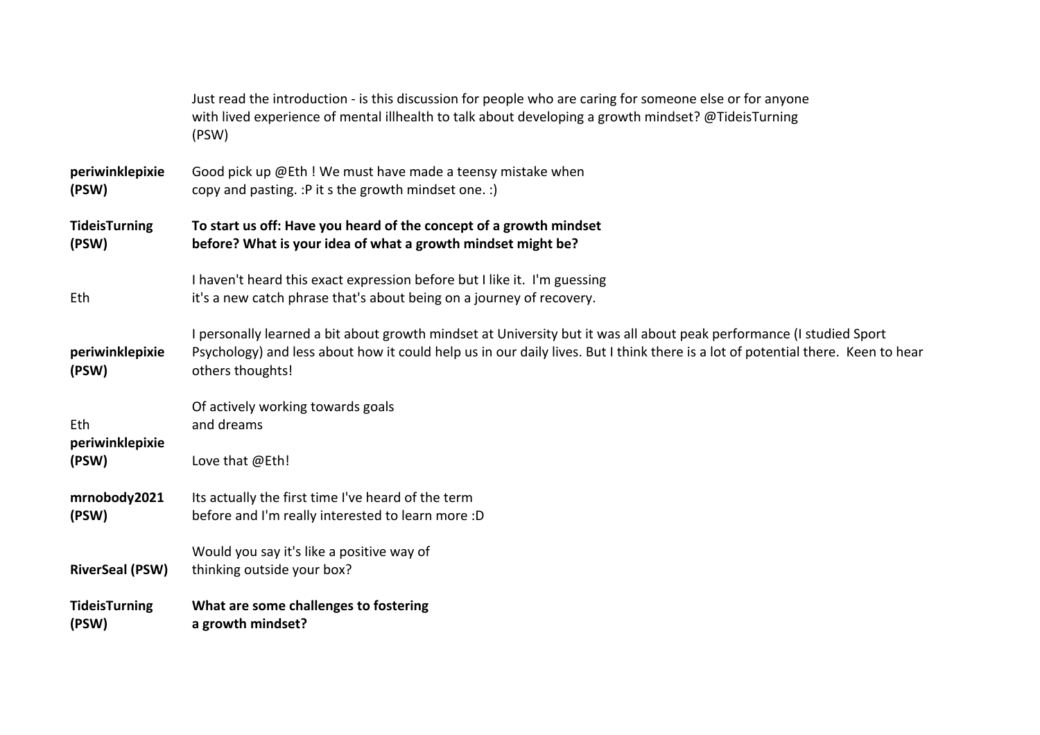| <b>TideisTurning</b><br>(PSW) | What are some challenges to fostering<br>a growth mindset?                                                                                                                                                                                                                  |
|-------------------------------|-----------------------------------------------------------------------------------------------------------------------------------------------------------------------------------------------------------------------------------------------------------------------------|
| <b>RiverSeal (PSW)</b>        | Would you say it's like a positive way of<br>thinking outside your box?                                                                                                                                                                                                     |
| mrnobody2021<br>(PSW)         | Its actually the first time I've heard of the term<br>before and I'm really interested to learn more :D                                                                                                                                                                     |
| periwinklepixie<br>(PSW)      | Love that @Eth!                                                                                                                                                                                                                                                             |
| Eth                           | Of actively working towards goals<br>and dreams                                                                                                                                                                                                                             |
| periwinklepixie<br>(PSW)      | I personally learned a bit about growth mindset at University but it was all about peak performance (I studied Sport<br>Psychology) and less about how it could help us in our daily lives. But I think there is a lot of potential there. Keen to hear<br>others thoughts! |
| Eth                           | I haven't heard this exact expression before but I like it. I'm guessing<br>it's a new catch phrase that's about being on a journey of recovery.                                                                                                                            |
| <b>TideisTurning</b><br>(PSW) | To start us off: Have you heard of the concept of a growth mindset<br>before? What is your idea of what a growth mindset might be?                                                                                                                                          |
| periwinklepixie<br>(PSW)      | Good pick up @Eth ! We must have made a teensy mistake when<br>copy and pasting. : P it s the growth mindset one. : )                                                                                                                                                       |
|                               | Just read the introduction - is this discussion for people who are caring for someone else or for anyone<br>with lived experience of mental illhealth to talk about developing a growth mindset? @TideisTurning<br>(PSW)                                                    |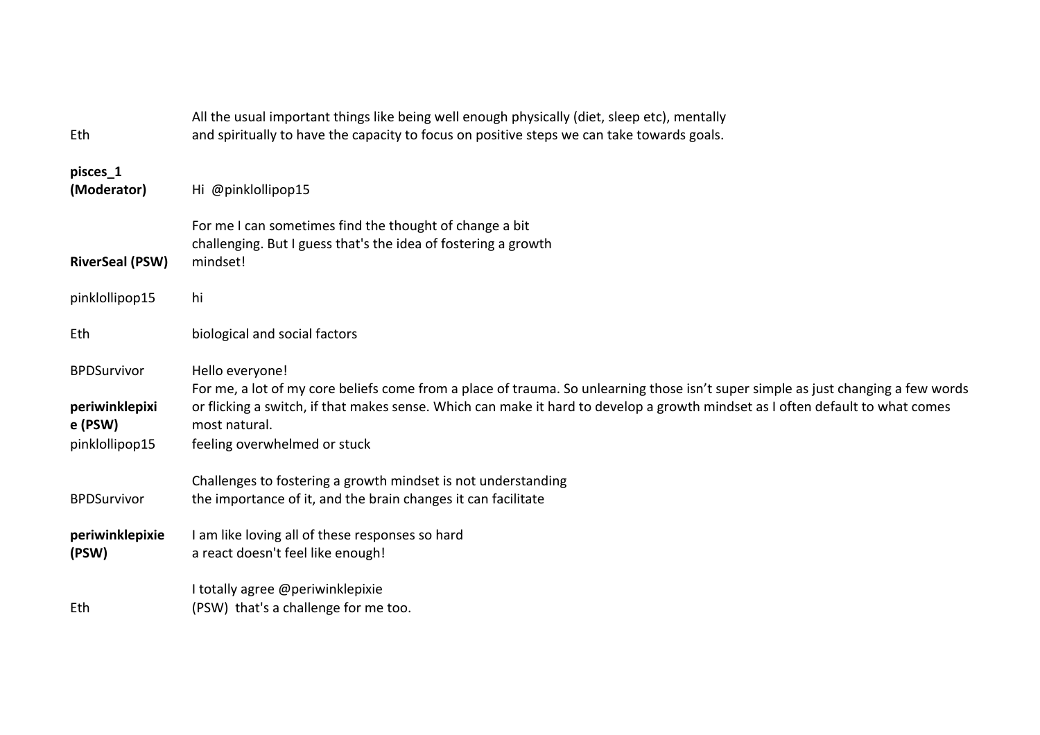| Eth                                                               | All the usual important things like being well enough physically (diet, sleep etc), mentally<br>and spiritually to have the capacity to focus on positive steps we can take towards goals.                                                                                                                                              |
|-------------------------------------------------------------------|-----------------------------------------------------------------------------------------------------------------------------------------------------------------------------------------------------------------------------------------------------------------------------------------------------------------------------------------|
| pisces_1<br>(Moderator)                                           | Hi @pinklollipop15                                                                                                                                                                                                                                                                                                                      |
| <b>RiverSeal (PSW)</b>                                            | For me I can sometimes find the thought of change a bit<br>challenging. But I guess that's the idea of fostering a growth<br>mindset!                                                                                                                                                                                                   |
| pinklollipop15                                                    | hi                                                                                                                                                                                                                                                                                                                                      |
| Eth                                                               | biological and social factors                                                                                                                                                                                                                                                                                                           |
| <b>BPDSurvivor</b><br>periwinklepixi<br>e (PSW)<br>pinklollipop15 | Hello everyone!<br>For me, a lot of my core beliefs come from a place of trauma. So unlearning those isn't super simple as just changing a few words<br>or flicking a switch, if that makes sense. Which can make it hard to develop a growth mindset as I often default to what comes<br>most natural.<br>feeling overwhelmed or stuck |
| <b>BPDSurvivor</b>                                                | Challenges to fostering a growth mindset is not understanding<br>the importance of it, and the brain changes it can facilitate                                                                                                                                                                                                          |
| periwinklepixie<br>(PSW)                                          | I am like loving all of these responses so hard<br>a react doesn't feel like enough!                                                                                                                                                                                                                                                    |
| Eth                                                               | I totally agree @periwinklepixie<br>(PSW) that's a challenge for me too.                                                                                                                                                                                                                                                                |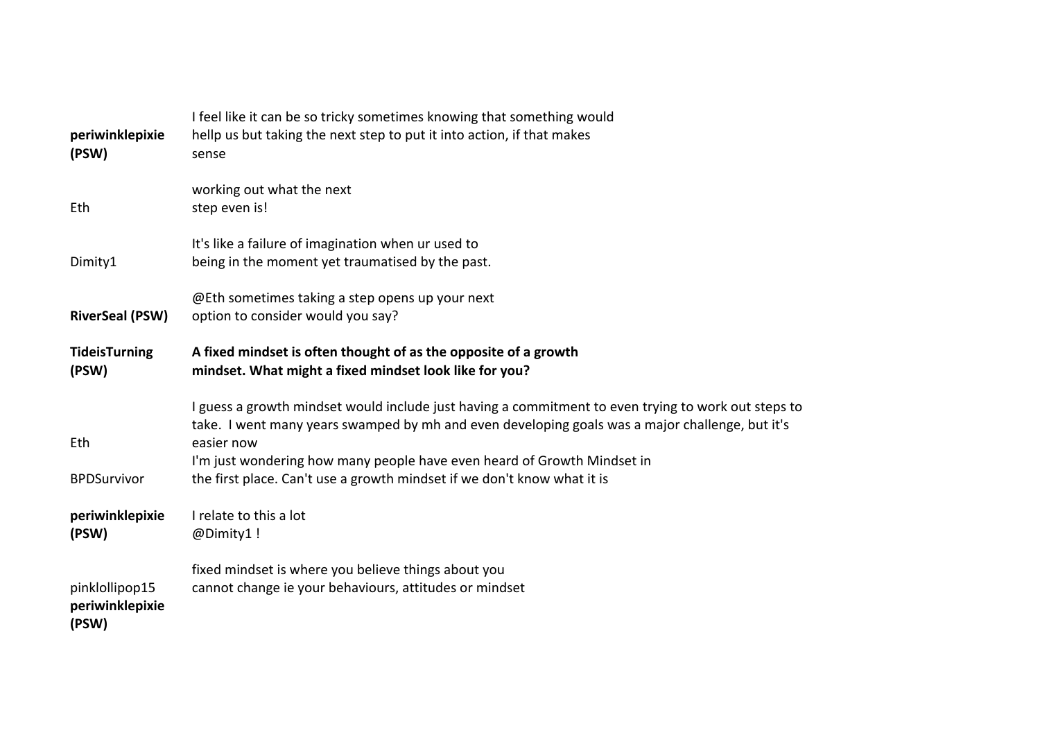| periwinklepixie<br>(PSW)                   | I feel like it can be so tricky sometimes knowing that something would<br>hellp us but taking the next step to put it into action, if that makes<br>sense                                                                                                                                                                                                                  |
|--------------------------------------------|----------------------------------------------------------------------------------------------------------------------------------------------------------------------------------------------------------------------------------------------------------------------------------------------------------------------------------------------------------------------------|
| Eth                                        | working out what the next<br>step even is!                                                                                                                                                                                                                                                                                                                                 |
| Dimity1                                    | It's like a failure of imagination when ur used to<br>being in the moment yet traumatised by the past.                                                                                                                                                                                                                                                                     |
| <b>RiverSeal (PSW)</b>                     | @Eth sometimes taking a step opens up your next<br>option to consider would you say?                                                                                                                                                                                                                                                                                       |
| <b>TideisTurning</b><br>(PSW)              | A fixed mindset is often thought of as the opposite of a growth<br>mindset. What might a fixed mindset look like for you?                                                                                                                                                                                                                                                  |
| Eth<br><b>BPDSurvivor</b>                  | I guess a growth mindset would include just having a commitment to even trying to work out steps to<br>take. I went many years swamped by mh and even developing goals was a major challenge, but it's<br>easier now<br>I'm just wondering how many people have even heard of Growth Mindset in<br>the first place. Can't use a growth mindset if we don't know what it is |
| periwinklepixie<br>(PSW)                   | I relate to this a lot<br>@Dimity1 !                                                                                                                                                                                                                                                                                                                                       |
| pinklollipop15<br>periwinklepixie<br>(PSW) | fixed mindset is where you believe things about you<br>cannot change ie your behaviours, attitudes or mindset                                                                                                                                                                                                                                                              |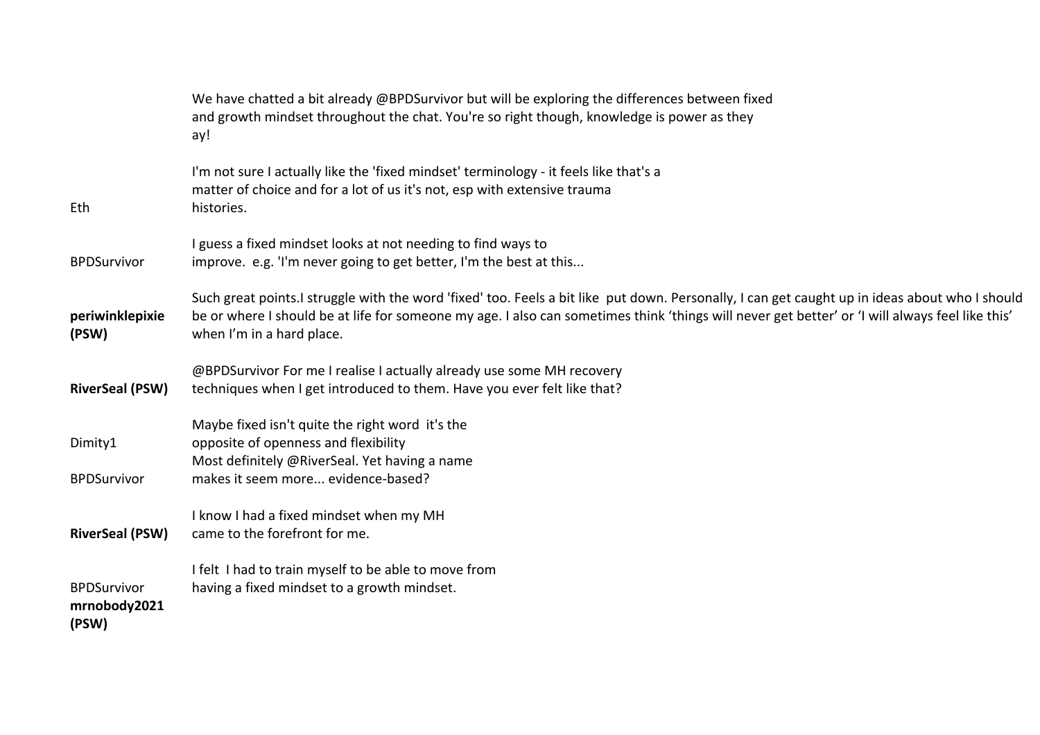|                                             | We have chatted a bit already @BPDSurvivor but will be exploring the differences between fixed<br>and growth mindset throughout the chat. You're so right though, knowledge is power as they<br>ay!                                                                                                                            |
|---------------------------------------------|--------------------------------------------------------------------------------------------------------------------------------------------------------------------------------------------------------------------------------------------------------------------------------------------------------------------------------|
| Eth                                         | I'm not sure I actually like the 'fixed mindset' terminology - it feels like that's a<br>matter of choice and for a lot of us it's not, esp with extensive trauma<br>histories.                                                                                                                                                |
| <b>BPDSurvivor</b>                          | I guess a fixed mindset looks at not needing to find ways to<br>improve. e.g. 'I'm never going to get better, I'm the best at this                                                                                                                                                                                             |
| periwinklepixie<br>(PSW)                    | Such great points.I struggle with the word 'fixed' too. Feels a bit like put down. Personally, I can get caught up in ideas about who I should<br>be or where I should be at life for someone my age. I also can sometimes think 'things will never get better' or 'I will always feel like this'<br>when I'm in a hard place. |
| <b>RiverSeal (PSW)</b>                      | @BPDSurvivor For me I realise I actually already use some MH recovery<br>techniques when I get introduced to them. Have you ever felt like that?                                                                                                                                                                               |
| Dimity1<br><b>BPDSurvivor</b>               | Maybe fixed isn't quite the right word it's the<br>opposite of openness and flexibility<br>Most definitely @RiverSeal. Yet having a name<br>makes it seem more evidence-based?                                                                                                                                                 |
| <b>RiverSeal (PSW)</b>                      | I know I had a fixed mindset when my MH<br>came to the forefront for me.                                                                                                                                                                                                                                                       |
| <b>BPDSurvivor</b><br>mrnobody2021<br>(PSW) | I felt I had to train myself to be able to move from<br>having a fixed mindset to a growth mindset.                                                                                                                                                                                                                            |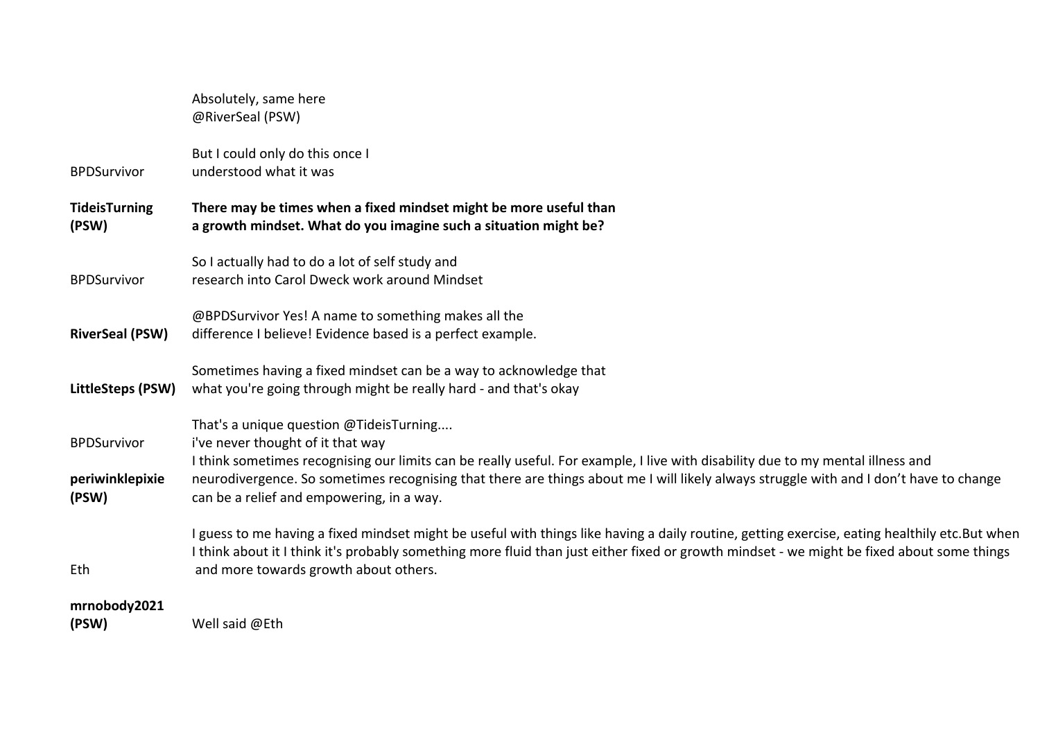|                                                | Absolutely, same here<br>@RiverSeal (PSW)                                                                                                                                                                                                                                                                                                                                                              |
|------------------------------------------------|--------------------------------------------------------------------------------------------------------------------------------------------------------------------------------------------------------------------------------------------------------------------------------------------------------------------------------------------------------------------------------------------------------|
| <b>BPDSurvivor</b>                             | But I could only do this once I<br>understood what it was                                                                                                                                                                                                                                                                                                                                              |
| <b>TideisTurning</b><br>(PSW)                  | There may be times when a fixed mindset might be more useful than<br>a growth mindset. What do you imagine such a situation might be?                                                                                                                                                                                                                                                                  |
| <b>BPDSurvivor</b>                             | So I actually had to do a lot of self study and<br>research into Carol Dweck work around Mindset                                                                                                                                                                                                                                                                                                       |
| <b>RiverSeal (PSW)</b>                         | @BPDSurvivor Yes! A name to something makes all the<br>difference I believe! Evidence based is a perfect example.                                                                                                                                                                                                                                                                                      |
| LittleSteps (PSW)                              | Sometimes having a fixed mindset can be a way to acknowledge that<br>what you're going through might be really hard - and that's okay                                                                                                                                                                                                                                                                  |
| <b>BPDSurvivor</b><br>periwinklepixie<br>(PSW) | That's a unique question @TideisTurning<br>i've never thought of it that way<br>I think sometimes recognising our limits can be really useful. For example, I live with disability due to my mental illness and<br>neurodivergence. So sometimes recognising that there are things about me I will likely always struggle with and I don't have to change<br>can be a relief and empowering, in a way. |
| Eth                                            | I guess to me having a fixed mindset might be useful with things like having a daily routine, getting exercise, eating healthily etc.But when<br>I think about it I think it's probably something more fluid than just either fixed or growth mindset - we might be fixed about some things<br>and more towards growth about others.                                                                   |
| mrnobody2021<br>(PSW)                          | Well said @Eth                                                                                                                                                                                                                                                                                                                                                                                         |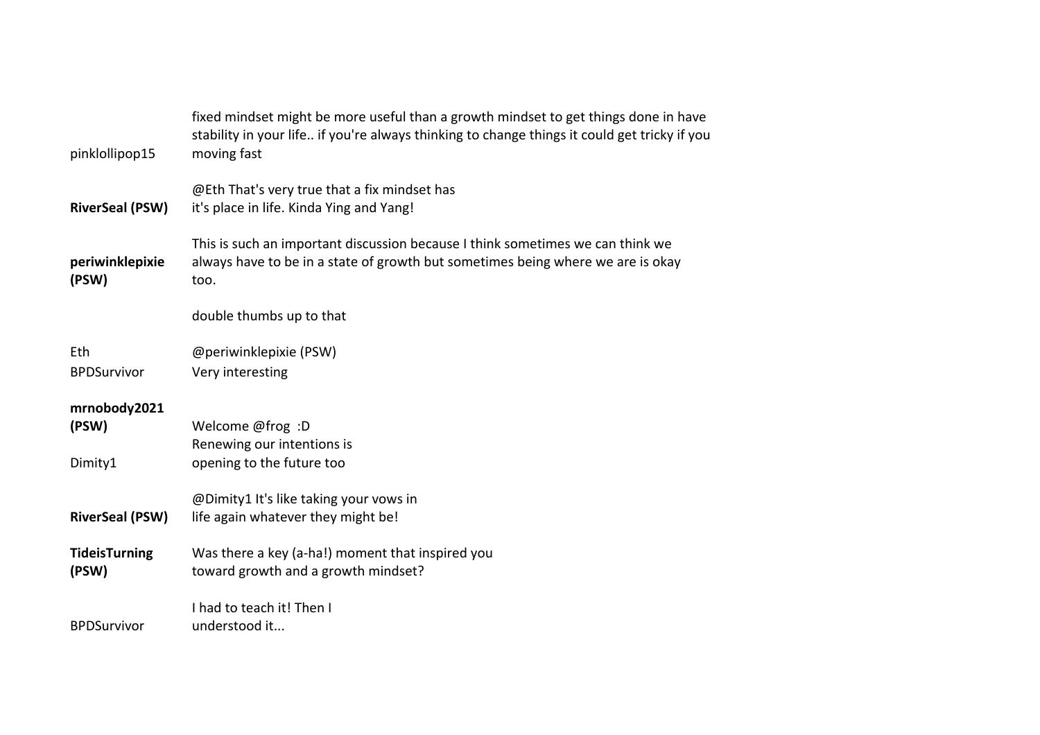| pinklollipop15                   | fixed mindset might be more useful than a growth mindset to get things done in have<br>stability in your life if you're always thinking to change things it could get tricky if you<br>moving fast |
|----------------------------------|----------------------------------------------------------------------------------------------------------------------------------------------------------------------------------------------------|
| <b>RiverSeal (PSW)</b>           | @Eth That's very true that a fix mindset has<br>it's place in life. Kinda Ying and Yang!                                                                                                           |
| periwinklepixie<br>(PSW)         | This is such an important discussion because I think sometimes we can think we<br>always have to be in a state of growth but sometimes being where we are is okay<br>too.                          |
|                                  | double thumbs up to that                                                                                                                                                                           |
| Eth<br><b>BPDSurvivor</b>        | @periwinklepixie (PSW)<br>Very interesting                                                                                                                                                         |
| mrnobody2021<br>(PSW)<br>Dimity1 | Welcome @frog: D<br>Renewing our intentions is<br>opening to the future too                                                                                                                        |
| <b>RiverSeal (PSW)</b>           | @Dimity1 It's like taking your vows in<br>life again whatever they might be!                                                                                                                       |
| <b>TideisTurning</b><br>(PSW)    | Was there a key (a-ha!) moment that inspired you<br>toward growth and a growth mindset?                                                                                                            |
| <b>BPDSurvivor</b>               | I had to teach it! Then I<br>understood it                                                                                                                                                         |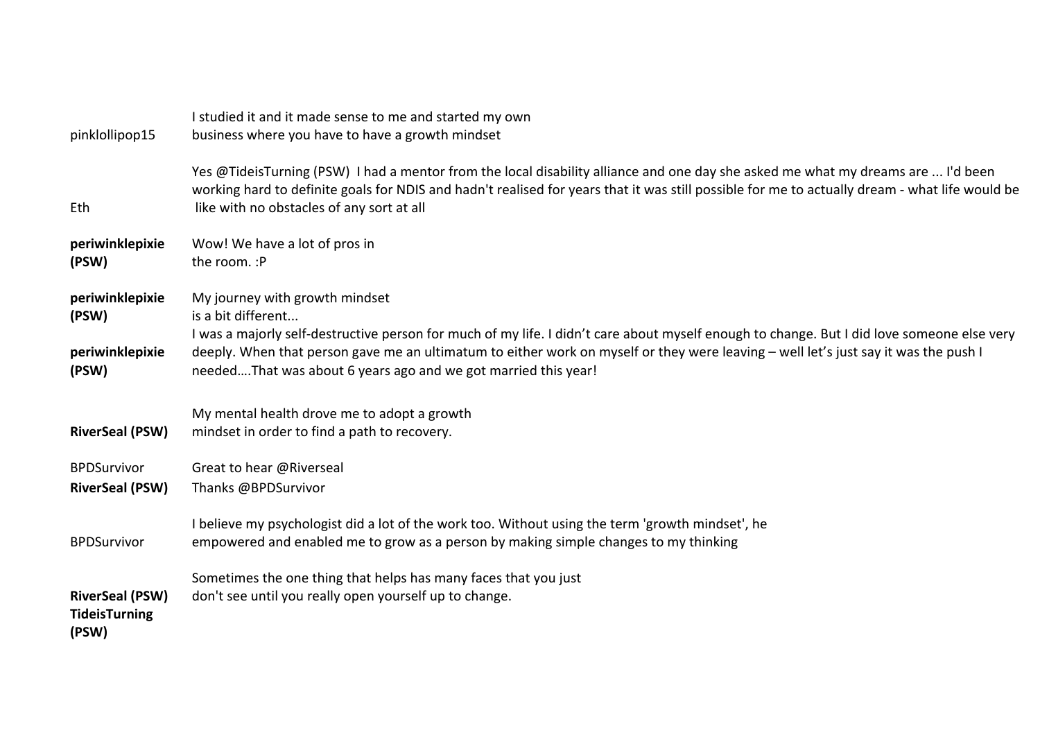| pinklollipop15                | I studied it and it made sense to me and started my own<br>business where you have to have a growth mindset                                                      |
|-------------------------------|------------------------------------------------------------------------------------------------------------------------------------------------------------------|
|                               | Yes @TideisTurning (PSW) I had a mentor from the local disability alliance and one day she asked me what my dreams are  I'd been                                 |
|                               | working hard to definite goals for NDIS and hadn't realised for years that it was still possible for me to actually dream - what life would be                   |
| Eth                           | like with no obstacles of any sort at all                                                                                                                        |
| periwinklepixie               | Wow! We have a lot of pros in                                                                                                                                    |
| (PSW)                         | the room. : P                                                                                                                                                    |
| periwinklepixie               | My journey with growth mindset                                                                                                                                   |
| (PSW)                         | is a bit different<br>I was a majorly self-destructive person for much of my life. I didn't care about myself enough to change. But I did love someone else very |
| periwinklepixie               | deeply. When that person gave me an ultimatum to either work on myself or they were leaving – well let's just say it was the push I                              |
| (PSW)                         | neededThat was about 6 years ago and we got married this year!                                                                                                   |
|                               | My mental health drove me to adopt a growth                                                                                                                      |
| <b>RiverSeal (PSW)</b>        | mindset in order to find a path to recovery.                                                                                                                     |
| <b>BPDSurvivor</b>            | Great to hear @Riverseal                                                                                                                                         |
| <b>RiverSeal (PSW)</b>        | Thanks @BPDSurvivor                                                                                                                                              |
|                               | I believe my psychologist did a lot of the work too. Without using the term 'growth mindset', he                                                                 |
| <b>BPDSurvivor</b>            | empowered and enabled me to grow as a person by making simple changes to my thinking                                                                             |
|                               | Sometimes the one thing that helps has many faces that you just                                                                                                  |
| <b>RiverSeal (PSW)</b>        | don't see until you really open yourself up to change.                                                                                                           |
| <b>TideisTurning</b><br>(PSW) |                                                                                                                                                                  |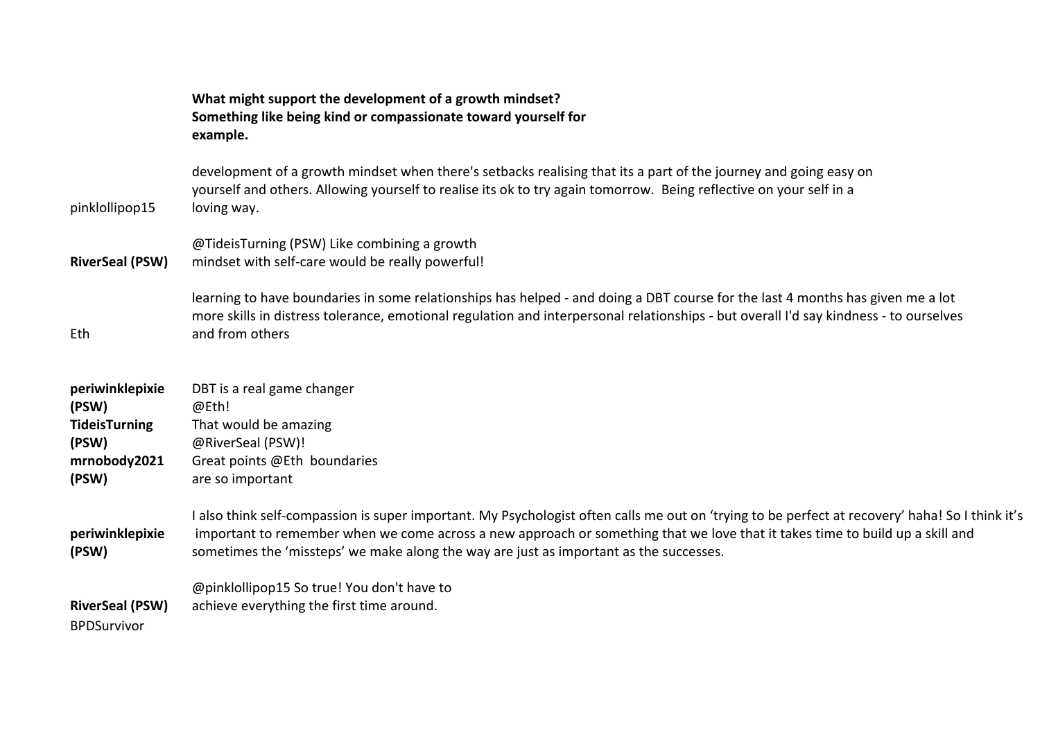|                                                                                    | What might support the development of a growth mindset?<br>Something like being kind or compassionate toward yourself for<br>example.                                                                                                                                                                                                                                      |
|------------------------------------------------------------------------------------|----------------------------------------------------------------------------------------------------------------------------------------------------------------------------------------------------------------------------------------------------------------------------------------------------------------------------------------------------------------------------|
| pinklollipop15                                                                     | development of a growth mindset when there's setbacks realising that its a part of the journey and going easy on<br>yourself and others. Allowing yourself to realise its ok to try again tomorrow. Being reflective on your self in a<br>loving way.                                                                                                                      |
| <b>RiverSeal (PSW)</b>                                                             | @TideisTurning (PSW) Like combining a growth<br>mindset with self-care would be really powerful!                                                                                                                                                                                                                                                                           |
| Eth                                                                                | learning to have boundaries in some relationships has helped - and doing a DBT course for the last 4 months has given me a lot<br>more skills in distress tolerance, emotional regulation and interpersonal relationships - but overall I'd say kindness - to ourselves<br>and from others                                                                                 |
| periwinklepixie<br>(PSW)<br><b>TideisTurning</b><br>(PSW)<br>mrnobody2021<br>(PSW) | DBT is a real game changer<br>@Eth!<br>That would be amazing<br>@RiverSeal (PSW)!<br>Great points @Eth boundaries<br>are so important                                                                                                                                                                                                                                      |
| periwinklepixie<br>(PSW)                                                           | I also think self-compassion is super important. My Psychologist often calls me out on 'trying to be perfect at recovery' haha! So I think it's<br>important to remember when we come across a new approach or something that we love that it takes time to build up a skill and<br>sometimes the 'missteps' we make along the way are just as important as the successes. |
| <b>RiverSeal (PSW)</b><br><b>BPDSurvivor</b>                                       | @pinklollipop15 So true! You don't have to<br>achieve everything the first time around.                                                                                                                                                                                                                                                                                    |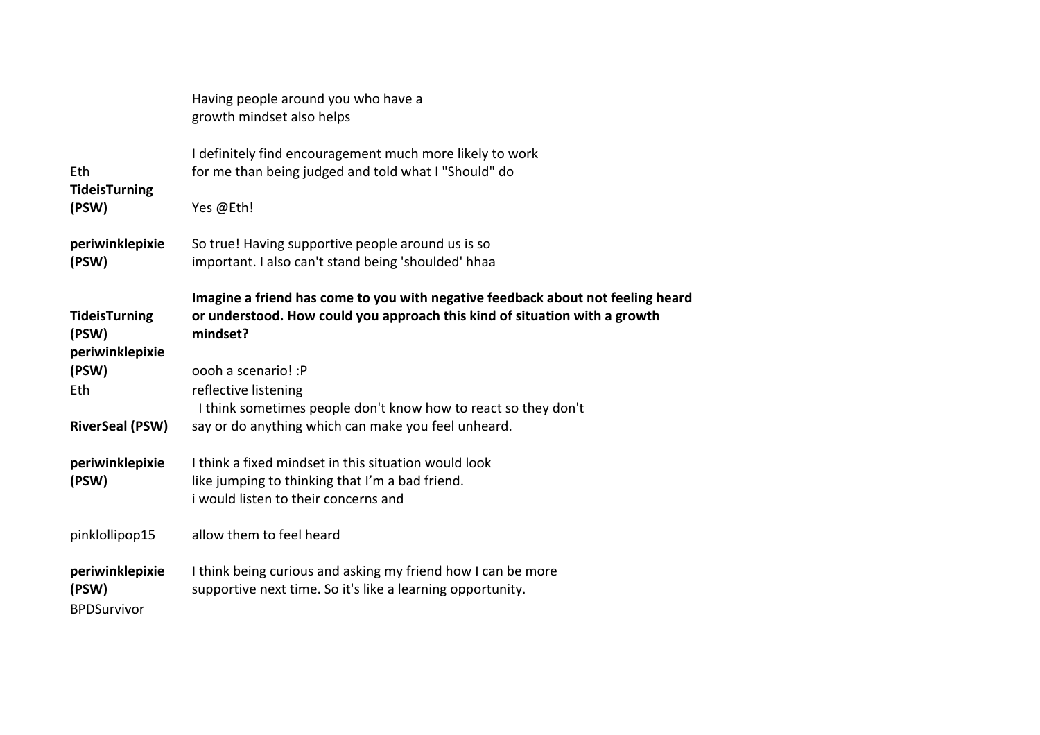|                                                  | Having people around you who have a<br>growth mindset also helps                                                                                                          |
|--------------------------------------------------|---------------------------------------------------------------------------------------------------------------------------------------------------------------------------|
| Eth<br><b>TideisTurning</b>                      | I definitely find encouragement much more likely to work<br>for me than being judged and told what I "Should" do                                                          |
| (PSW)                                            | Yes @Eth!                                                                                                                                                                 |
| periwinklepixie<br>(PSW)                         | So true! Having supportive people around us is so<br>important. I also can't stand being 'shoulded' hhaa                                                                  |
| <b>TideisTurning</b><br>(PSW)<br>periwinklepixie | Imagine a friend has come to you with negative feedback about not feeling heard<br>or understood. How could you approach this kind of situation with a growth<br>mindset? |
| (PSW)                                            | oooh a scenario! : P                                                                                                                                                      |
| Eth                                              | reflective listening<br>I think sometimes people don't know how to react so they don't                                                                                    |
| <b>RiverSeal (PSW)</b>                           | say or do anything which can make you feel unheard.                                                                                                                       |
| periwinklepixie<br>(PSW)                         | I think a fixed mindset in this situation would look<br>like jumping to thinking that I'm a bad friend.<br>i would listen to their concerns and                           |
| pinklollipop15                                   | allow them to feel heard                                                                                                                                                  |
| periwinklepixie<br>(PSW)<br><b>BPDSurvivor</b>   | I think being curious and asking my friend how I can be more<br>supportive next time. So it's like a learning opportunity.                                                |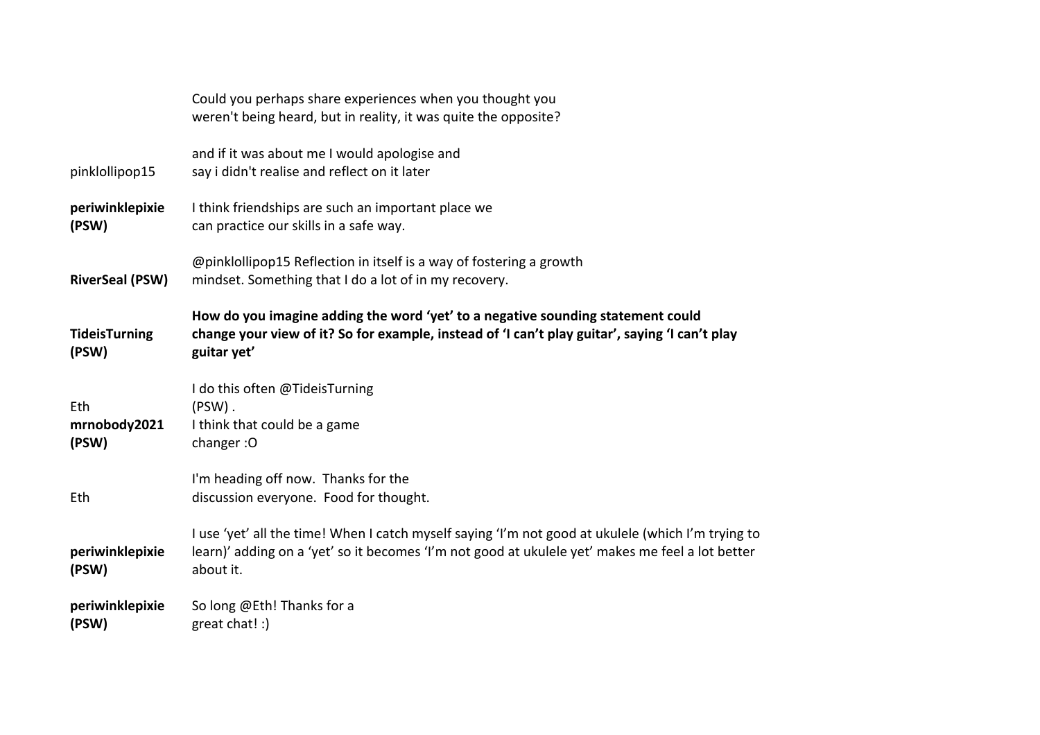|                               | Could you perhaps share experiences when you thought you<br>weren't being heard, but in reality, it was quite the opposite?                                                                                         |
|-------------------------------|---------------------------------------------------------------------------------------------------------------------------------------------------------------------------------------------------------------------|
| pinklollipop15                | and if it was about me I would apologise and<br>say i didn't realise and reflect on it later                                                                                                                        |
| periwinklepixie<br>(PSW)      | I think friendships are such an important place we<br>can practice our skills in a safe way.                                                                                                                        |
| <b>RiverSeal (PSW)</b>        | @pinklollipop15 Reflection in itself is a way of fostering a growth<br>mindset. Something that I do a lot of in my recovery.                                                                                        |
| <b>TideisTurning</b><br>(PSW) | How do you imagine adding the word 'yet' to a negative sounding statement could<br>change your view of it? So for example, instead of 'I can't play guitar', saying 'I can't play<br>guitar yet'                    |
| Eth<br>mrnobody2021<br>(PSW)  | I do this often @TideisTurning<br>$(PSW)$ .<br>I think that could be a game<br>changer: O                                                                                                                           |
| Eth                           | I'm heading off now. Thanks for the<br>discussion everyone. Food for thought.                                                                                                                                       |
| periwinklepixie<br>(PSW)      | I use 'yet' all the time! When I catch myself saying 'I'm not good at ukulele (which I'm trying to<br>learn)' adding on a 'yet' so it becomes 'I'm not good at ukulele yet' makes me feel a lot better<br>about it. |
| periwinklepixie<br>(PSW)      | So long @Eth! Thanks for a<br>great chat! :)                                                                                                                                                                        |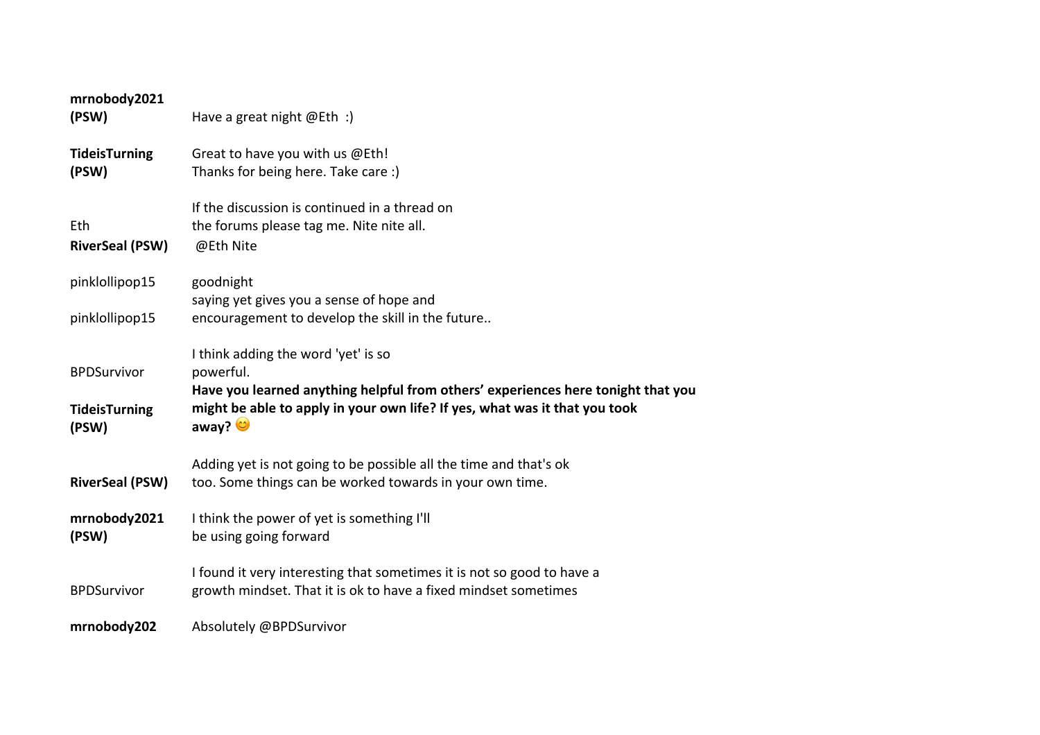| mrnobody2021<br>(PSW)                               | Have a great night $@Eth$ :)                                                                                                                                                                                                        |
|-----------------------------------------------------|-------------------------------------------------------------------------------------------------------------------------------------------------------------------------------------------------------------------------------------|
| <b>TideisTurning</b><br>(PSW)                       | Great to have you with us @Eth!<br>Thanks for being here. Take care:)                                                                                                                                                               |
| Eth<br><b>RiverSeal (PSW)</b>                       | If the discussion is continued in a thread on<br>the forums please tag me. Nite nite all.<br>@Eth Nite                                                                                                                              |
| pinklollipop15                                      | goodnight                                                                                                                                                                                                                           |
| pinklollipop15                                      | saying yet gives you a sense of hope and<br>encouragement to develop the skill in the future                                                                                                                                        |
| <b>BPDSurvivor</b><br><b>TideisTurning</b><br>(PSW) | I think adding the word 'yet' is so<br>powerful.<br>Have you learned anything helpful from others' experiences here tonight that you<br>might be able to apply in your own life? If yes, what was it that you took<br>away? $\circ$ |
| <b>RiverSeal (PSW)</b>                              | Adding yet is not going to be possible all the time and that's ok<br>too. Some things can be worked towards in your own time.                                                                                                       |
| mrnobody2021<br>(PSW)                               | I think the power of yet is something I'll<br>be using going forward                                                                                                                                                                |
| <b>BPDSurvivor</b>                                  | I found it very interesting that sometimes it is not so good to have a<br>growth mindset. That it is ok to have a fixed mindset sometimes                                                                                           |
| mrnobody202                                         | Absolutely @BPDSurvivor                                                                                                                                                                                                             |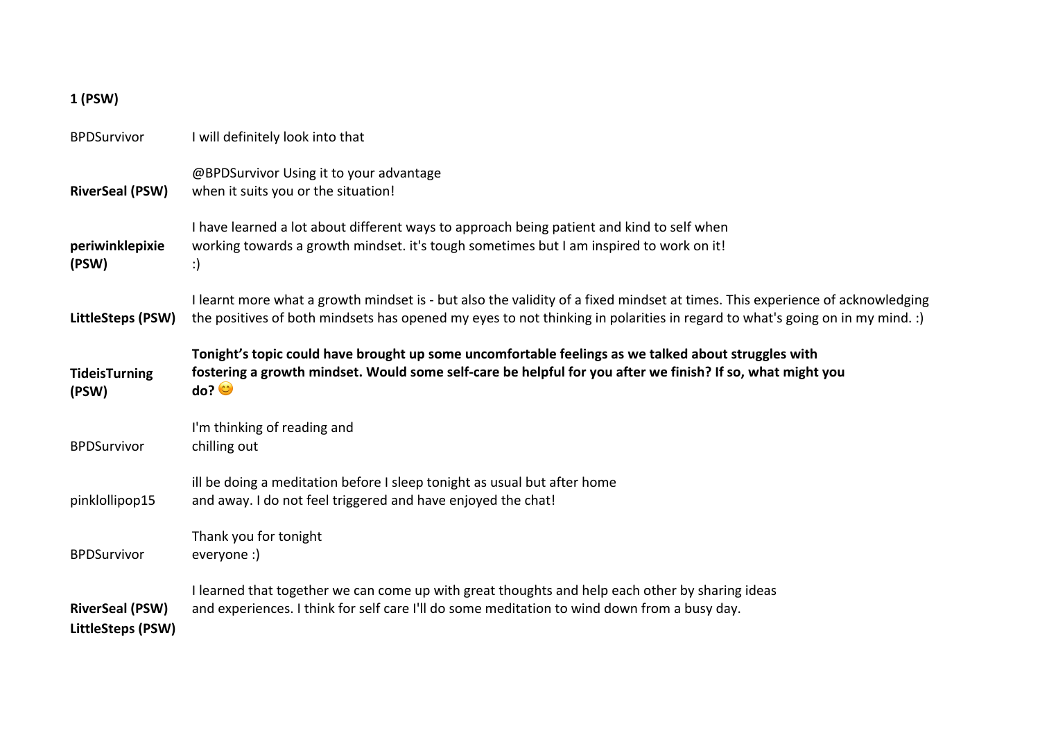## **1 (PSW)**

| <b>BPDSurvivor</b>                          | I will definitely look into that                                                                                                                                                                                                                            |  |
|---------------------------------------------|-------------------------------------------------------------------------------------------------------------------------------------------------------------------------------------------------------------------------------------------------------------|--|
| <b>RiverSeal (PSW)</b>                      | @BPDSurvivor Using it to your advantage<br>when it suits you or the situation!                                                                                                                                                                              |  |
| periwinklepixie<br>(PSW)                    | I have learned a lot about different ways to approach being patient and kind to self when<br>working towards a growth mindset. it's tough sometimes but I am inspired to work on it!<br>:)                                                                  |  |
| LittleSteps (PSW)                           | I learnt more what a growth mindset is - but also the validity of a fixed mindset at times. This experience of acknowledging<br>the positives of both mindsets has opened my eyes to not thinking in polarities in regard to what's going on in my mind. :) |  |
| <b>TideisTurning</b><br>(PSW)               | Tonight's topic could have brought up some uncomfortable feelings as we talked about struggles with<br>fostering a growth mindset. Would some self-care be helpful for you after we finish? If so, what might you<br>$\overline{\text{do?}}$                |  |
| <b>BPDSurvivor</b>                          | I'm thinking of reading and<br>chilling out                                                                                                                                                                                                                 |  |
| pinklollipop15                              | ill be doing a meditation before I sleep tonight as usual but after home<br>and away. I do not feel triggered and have enjoyed the chat!                                                                                                                    |  |
| <b>BPDSurvivor</b>                          | Thank you for tonight<br>everyone :)                                                                                                                                                                                                                        |  |
| <b>RiverSeal (PSW)</b><br>LittleSteps (PSW) | I learned that together we can come up with great thoughts and help each other by sharing ideas<br>and experiences. I think for self care I'll do some meditation to wind down from a busy day.                                                             |  |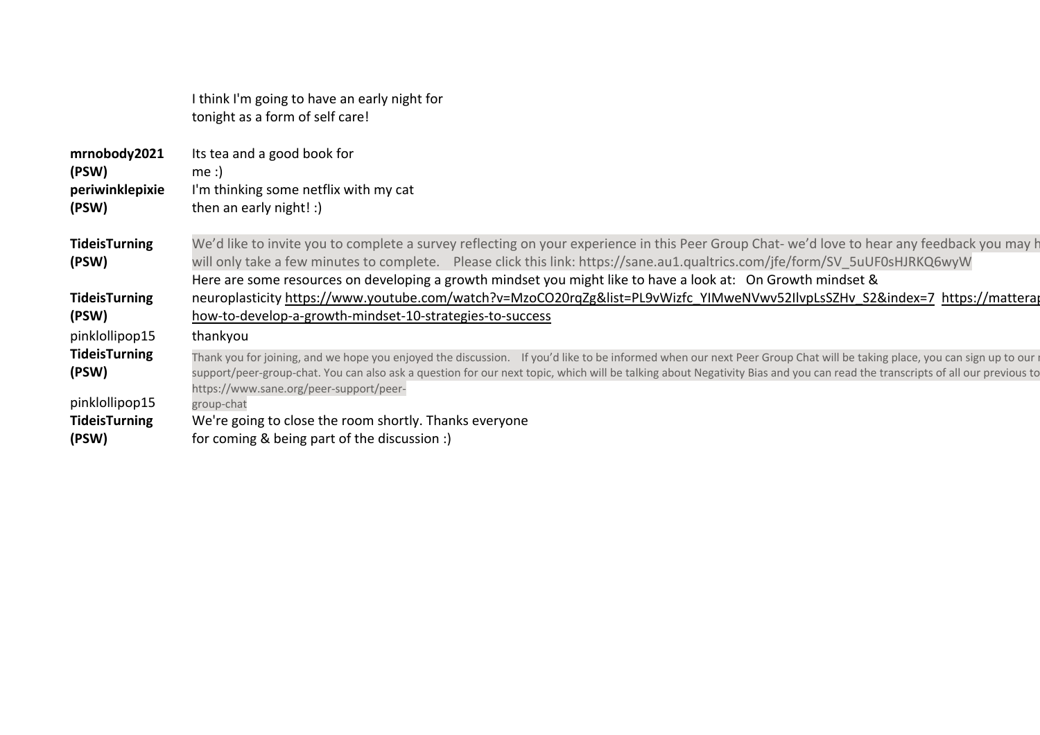|                                                   | I think I'm going to have an early night for<br>tonight as a form of self care!                                                                                                                                                                                                                                                                                                                     |
|---------------------------------------------------|-----------------------------------------------------------------------------------------------------------------------------------------------------------------------------------------------------------------------------------------------------------------------------------------------------------------------------------------------------------------------------------------------------|
| mrnobody2021<br>(PSW)<br>periwinklepixie<br>(PSW) | Its tea and a good book for<br>me:<br>I'm thinking some netflix with my cat<br>then an early night! :)                                                                                                                                                                                                                                                                                              |
| <b>TideisTurning</b><br>(PSW)                     | We'd like to invite you to complete a survey reflecting on your experience in this Peer Group Chat- we'd love to hear any feedback you may h<br>will only take a few minutes to complete. Please click this link: https://sane.au1.qualtrics.com/jfe/form/SV 5uUF0sHJRKQ6wyW<br>Here are some resources on developing a growth mindset you might like to have a look at: On Growth mindset &        |
| <b>TideisTurning</b><br>(PSW)                     | neuroplasticity https://www.youtube.com/watch?v=MzoCO20rqZg&list=PL9vWizfc YIMweNVwv52IlvpLsSZHv S2&index=7 https://matterar<br>how-to-develop-a-growth-mindset-10-strategies-to-success                                                                                                                                                                                                            |
| pinklollipop15                                    | thankyou                                                                                                                                                                                                                                                                                                                                                                                            |
| <b>TideisTurning</b><br>(PSW)                     | Thank you for joining, and we hope you enjoyed the discussion. If you'd like to be informed when our next Peer Group Chat will be taking place, you can sign up to our r<br>support/peer-group-chat. You can also ask a question for our next topic, which will be talking about Negativity Bias and you can read the transcripts of all our previous to<br>https://www.sane.org/peer-support/peer- |
| pinklollipop15<br><b>TideisTurning</b><br>(PSW)   | group-chat<br>We're going to close the room shortly. Thanks everyone<br>for coming & being part of the discussion :)                                                                                                                                                                                                                                                                                |
|                                                   |                                                                                                                                                                                                                                                                                                                                                                                                     |